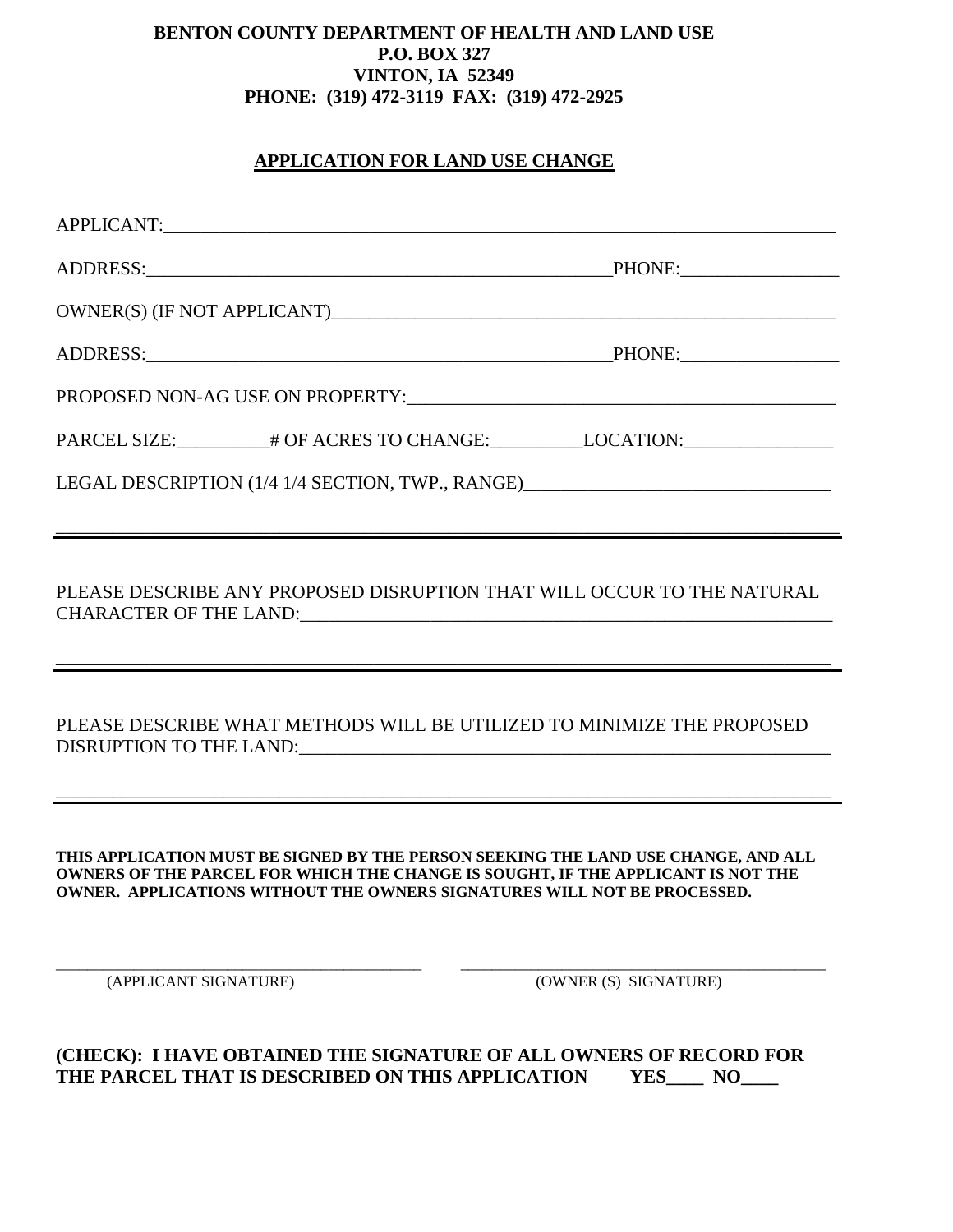## **BENTON COUNTY DEPARTMENT OF HEALTH AND LAND USE P.O. BOX 327 VINTON, IA 52349 PHONE: (319) 472-3119 FAX: (319) 472-2925**

## **APPLICATION FOR LAND USE CHANGE**

|                                                                                                                                                                                                                                                    |  | PARCEL SIZE:__________# OF ACRES TO CHANGE:___________LOCATION:_________________ |  |
|----------------------------------------------------------------------------------------------------------------------------------------------------------------------------------------------------------------------------------------------------|--|----------------------------------------------------------------------------------|--|
| LEGAL DESCRIPTION (1/4 1/4 SECTION, TWP., RANGE) ________________________________                                                                                                                                                                  |  |                                                                                  |  |
|                                                                                                                                                                                                                                                    |  |                                                                                  |  |
| PLEASE DESCRIBE ANY PROPOSED DISRUPTION THAT WILL OCCUR TO THE NATURAL                                                                                                                                                                             |  |                                                                                  |  |
| PLEASE DESCRIBE WHAT METHODS WILL BE UTILIZED TO MINIMIZE THE PROPOSED                                                                                                                                                                             |  |                                                                                  |  |
| THIS APPLICATION MUST BE SIGNED BY THE PERSON SEEKING THE LAND USE CHANGE, AND ALL<br>OWNERS OF THE PARCEL FOR WHICH THE CHANGE IS SOUGHT, IF THE APPLICANT IS NOT THE<br>OWNER. APPLICATIONS WITHOUT THE OWNERS SIGNATURES WILL NOT BE PROCESSED. |  |                                                                                  |  |
| (APPLICANT SIGNATURE)                                                                                                                                                                                                                              |  | (OWNER (S) SIGNATURE)                                                            |  |
|                                                                                                                                                                                                                                                    |  |                                                                                  |  |

**(CHECK): I HAVE OBTAINED THE SIGNATURE OF ALL OWNERS OF RECORD FOR THE PARCEL THAT IS DESCRIBED ON THIS APPLICATION YES\_\_\_\_ NO\_\_\_\_**